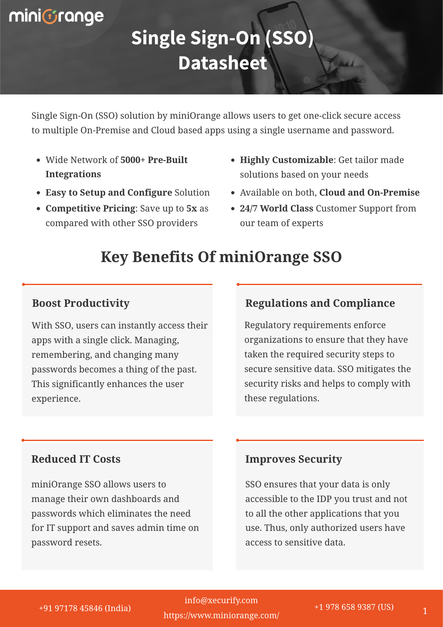# miniGrange

# **Single Sign-On (SSO) Datasheet**

Single Sign-On (SSO) solution by miniOrange allows users to get one-click secure access to multiple On-Premise and Cloud based apps using a single username and password.

- Wide Network of **5000+ Pre-Built Integrations**
- **Easy to Setup and Configure** Solution
- **Competitive Pricing**: Save up to **5x** as compared with other SSO providers
- **Highly Customizable**: Get tailor made solutions based on your needs
- Available on both, **Cloud and On-Premise**
- **24/7 World Class** Customer Support from our team of experts

# **Key Benefits Of miniOrange SSO**

### **Boost Productivity**

With SSO, users can instantly access their apps with a single click. Managing, remembering, and changing many passwords becomes a thing of the past. This significantly enhances the user experience.

### **Regulations and Compliance**

Regulatory requirements enforce organizations to ensure that they have taken the required security steps to secure sensitive data. SSO mitigates the security risks and helps to comply with these regulations.

### **Reduced IT Costs**

miniOrange SSO allows users to manage their own dashboards and passwords which eliminates the need for IT support and saves admin time on password resets.

### **Improves Security**

SSO ensures that your data is only accessible to the IDP you trust and not to all the other applications that you use. Thus, only authorized users have access to sensitive data.

+91 97178 45846 (India) +1 978 658 9387 (US) <sup>1</sup> <https://www.miniorange.com/> info@xecurify.com +91 97178 45846 (India) +1 978 658 9387 (US)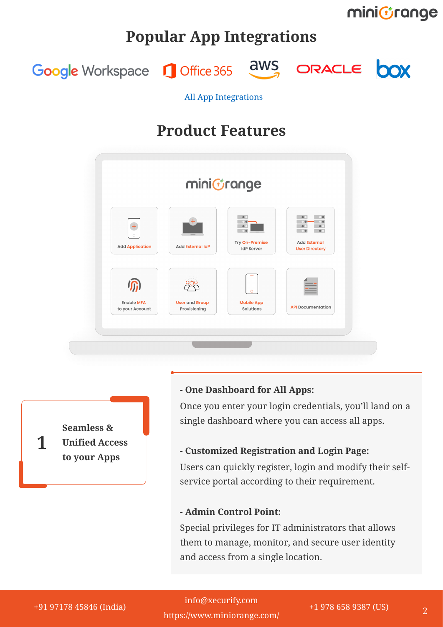minicrange

### **Popular App Integrations**

ORACLE **DOX** aws Google Workspace **Q** Office 365

[All App Integrations](https://idp.miniorange.com/apps-integration/)

### **Product Features**

| minicrange                                    |                                       |                                           |                                                                                                  |
|-----------------------------------------------|---------------------------------------|-------------------------------------------|--------------------------------------------------------------------------------------------------|
| $^{+}$<br>$\bigcap$<br><b>Add Application</b> | <b>Add External IdP</b>               | Try On-Premise<br><b>IdP Server</b>       | $\bullet$<br>$\bullet$<br>$\bullet$<br>$\bullet$<br><b>Add External</b><br><b>User Directory</b> |
| <b>Enable MFA</b><br>to your Account          | <b>User and Group</b><br>Provisioning | $\circ$<br><b>Mobile App</b><br>Solutions | <b>API</b> Documentation                                                                         |

**Seamless & Unified Access to your Apps**

**1**

#### **- One Dashboard for All Apps:**

Once you enter your login credentials, you'll land on a single dashboard where you can access all apps.

#### **- Customized Registration and Login Page:**

Users can quickly register, login and modify their selfservice portal according to their requirement.

#### **- Admin Control Point:**

Special privileges for IT administrators that allows them to manage, monitor, and secure user identity and access from a single location.

+91 97178 45846 (India) +1 978 658 9387 (US) <sup>2</sup> +91 97178 45846 (India) +1 978 658 9387 (US)info@xecurify.com <https://www.miniorange.com/>